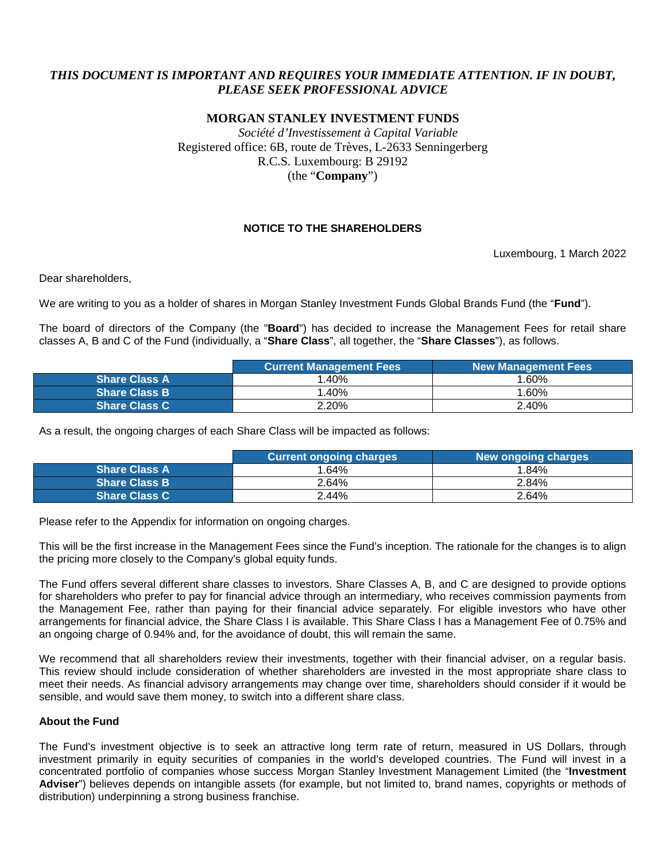# *THIS DOCUMENT IS IMPORTANT AND REQUIRES YOUR IMMEDIATE ATTENTION. IF IN DOUBT, PLEASE SEEK PROFESSIONAL ADVICE*

## **MORGAN STANLEY INVESTMENT FUNDS**

*Société d'Investissement à Capital Variable* Registered office: 6B, route de Trèves, L-2633 Senningerberg R.C.S. Luxembourg: B 29192 (the "**Company**")

#### **NOTICE TO THE SHAREHOLDERS**

Luxembourg, 1 March 2022

Dear shareholders,

We are writing to you as a holder of shares in Morgan Stanley Investment Funds Global Brands Fund (the "**Fund**").

The board of directors of the Company (the "**Board**") has decided to increase the Management Fees for retail share classes A, B and C of the Fund (individually, a "**Share Class**", all together, the "**Share Classes**"), as follows.

|                      | <b>Current Management Fees</b> | <b>New Management Fees</b> |  |  |
|----------------------|--------------------------------|----------------------------|--|--|
| <b>Share Class A</b> | 1.40%                          | 1.60%                      |  |  |
| <b>Share Class B</b> | 1.40%                          | $.60\%$                    |  |  |
| <b>Share Class C</b> | 2.20%                          | 2.40%                      |  |  |

As a result, the ongoing charges of each Share Class will be impacted as follows:

|                      | <b>Current ongoing charges</b> | New ongoing charges |
|----------------------|--------------------------------|---------------------|
| <b>Share Class A</b> | 1.64%                          | 1.84%               |
| <b>Share Class B</b> | 2.64%                          | 2.84%               |
| <b>Share Class C</b> | 2.44%                          | 2.64%               |

Please refer to the Appendix for information on ongoing charges.

This will be the first increase in the Management Fees since the Fund's inception. The rationale for the changes is to align the pricing more closely to the Company's global equity funds.

The Fund offers several different share classes to investors. Share Classes A, B, and C are designed to provide options for shareholders who prefer to pay for financial advice through an intermediary, who receives commission payments from the Management Fee, rather than paying for their financial advice separately. For eligible investors who have other arrangements for financial advice, the Share Class I is available. This Share Class I has a Management Fee of 0.75% and an ongoing charge of 0.94% and, for the avoidance of doubt, this will remain the same.

We recommend that all shareholders review their investments, together with their financial adviser, on a regular basis. This review should include consideration of whether shareholders are invested in the most appropriate share class to meet their needs. As financial advisory arrangements may change over time, shareholders should consider if it would be sensible, and would save them money, to switch into a different share class.

#### **About the Fund**

The Fund's investment objective is to seek an attractive long term rate of return, measured in US Dollars, through investment primarily in equity securities of companies in the world's developed countries. The Fund will invest in a concentrated portfolio of companies whose success Morgan Stanley Investment Management Limited (the "**Investment Adviser**") believes depends on intangible assets (for example, but not limited to, brand names, copyrights or methods of distribution) underpinning a strong business franchise.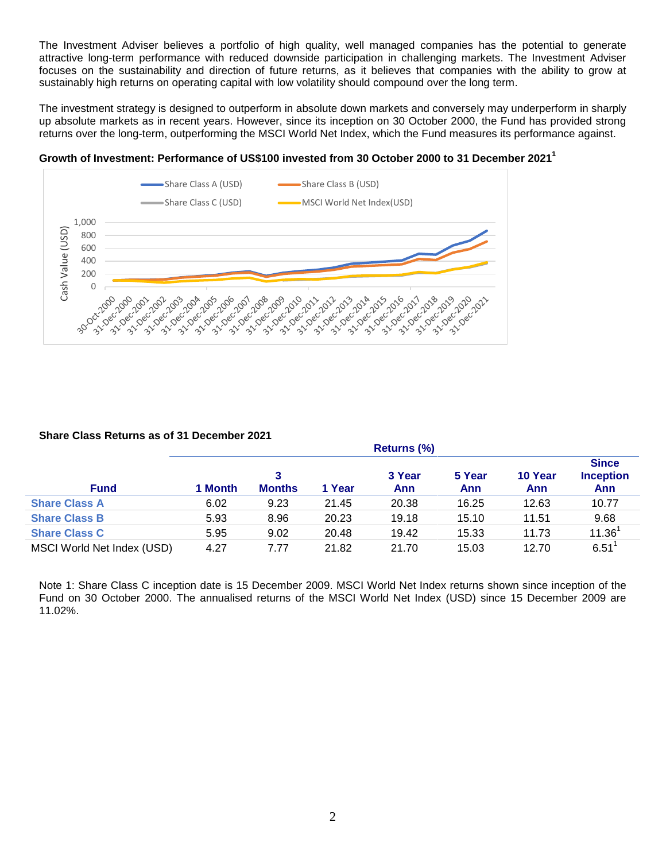The Investment Adviser believes a portfolio of high quality, well managed companies has the potential to generate attractive long-term performance with reduced downside participation in challenging markets. The Investment Adviser focuses on the sustainability and direction of future returns, as it believes that companies with the ability to grow at sustainably high returns on operating capital with low volatility should compound over the long term.

The investment strategy is designed to outperform in absolute down markets and conversely may underperform in sharply up absolute markets as in recent years. However, since its inception on 30 October 2000, the Fund has provided strong returns over the long-term, outperforming the MSCI World Net Index, which the Fund measures its performance against.





#### **Share Class Returns as of 31 December 2021**

|                            | N       |               |        |        |        |         |                                  |
|----------------------------|---------|---------------|--------|--------|--------|---------|----------------------------------|
|                            |         |               |        | 3 Year | 5 Year | 10 Year | <b>Since</b><br><b>Inception</b> |
| <b>Fund</b>                | 1 Month | <b>Months</b> | 1 Year | Ann    | Ann    | Ann     | Ann                              |
| <b>Share Class A</b>       | 6.02    | 9.23          | 21.45  | 20.38  | 16.25  | 12.63   | 10.77                            |
| <b>Share Class B</b>       | 5.93    | 8.96          | 20.23  | 19.18  | 15.10  | 11.51   | 9.68                             |
| <b>Share Class C</b>       | 5.95    | 9.02          | 20.48  | 19.42  | 15.33  | 11.73   | 11.36 <sup>1</sup>               |
| MSCI World Net Index (USD) | 4.27    | 7.77          | 21.82  | 21.70  | 15.03  | 12.70   | 6.51                             |

**Returns (%)**

Note 1: Share Class C inception date is 15 December 2009. MSCI World Net Index returns shown since inception of the Fund on 30 October 2000. The annualised returns of the MSCI World Net Index (USD) since 15 December 2009 are 11.02%.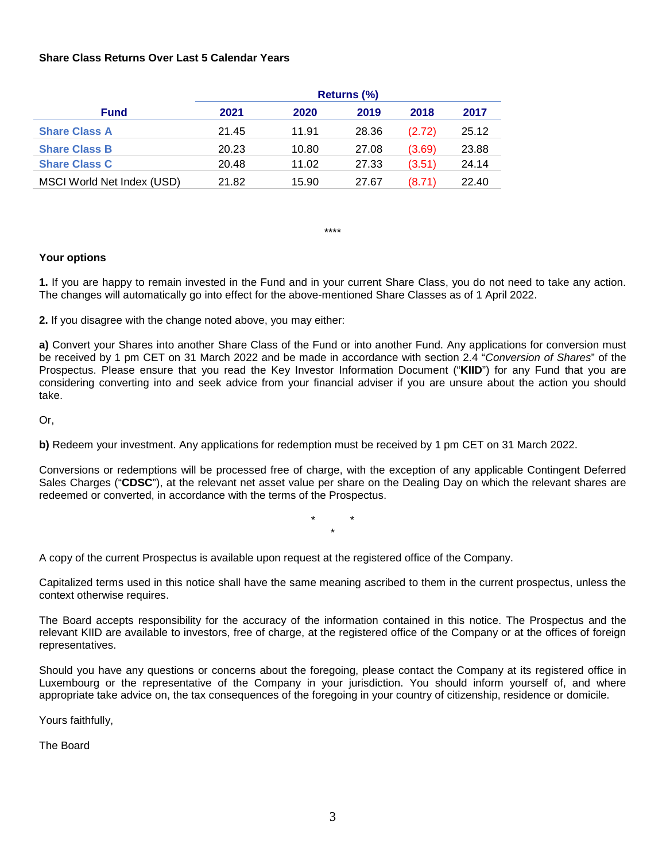#### **Share Class Returns Over Last 5 Calendar Years**

|                            | Returns (%) |       |       |        |       |
|----------------------------|-------------|-------|-------|--------|-------|
| <b>Fund</b>                | 2021        | 2020  | 2019  | 2018   | 2017  |
| <b>Share Class A</b>       | 21.45       | 11.91 | 28.36 | (2.72) | 25.12 |
| <b>Share Class B</b>       | 20.23       | 10.80 | 27.08 | (3.69) | 23.88 |
| <b>Share Class C</b>       | 20.48       | 11.02 | 27.33 | (3.51) | 24.14 |
| MSCI World Net Index (USD) | 21.82       | 15.90 | 27.67 | (8.71) | 22.40 |

\*\*\*\*

#### **Your options**

**1.** If you are happy to remain invested in the Fund and in your current Share Class, you do not need to take any action. The changes will automatically go into effect for the above-mentioned Share Classes as of 1 April 2022.

**2.** If you disagree with the change noted above, you may either:

**a)** Convert your Shares into another Share Class of the Fund or into another Fund. Any applications for conversion must be received by 1 pm CET on 31 March 2022 and be made in accordance with section 2.4 "*Conversion of Shares*" of the Prospectus. Please ensure that you read the Key Investor Information Document ("**KIID**") for any Fund that you are considering converting into and seek advice from your financial adviser if you are unsure about the action you should take.

Or,

**b)** Redeem your investment. Any applications for redemption must be received by 1 pm CET on 31 March 2022.

Conversions or redemptions will be processed free of charge, with the exception of any applicable Contingent Deferred Sales Charges ("**CDSC**"), at the relevant net asset value per share on the Dealing Day on which the relevant shares are redeemed or converted, in accordance with the terms of the Prospectus.

> \* \* \*

A copy of the current Prospectus is available upon request at the registered office of the Company.

Capitalized terms used in this notice shall have the same meaning ascribed to them in the current prospectus, unless the context otherwise requires.

The Board accepts responsibility for the accuracy of the information contained in this notice. The Prospectus and the relevant KIID are available to investors, free of charge, at the registered office of the Company or at the offices of foreign representatives.

Should you have any questions or concerns about the foregoing, please contact the Company at its registered office in Luxembourg or the representative of the Company in your jurisdiction. You should inform yourself of, and where appropriate take advice on, the tax consequences of the foregoing in your country of citizenship, residence or domicile.

Yours faithfully,

The Board